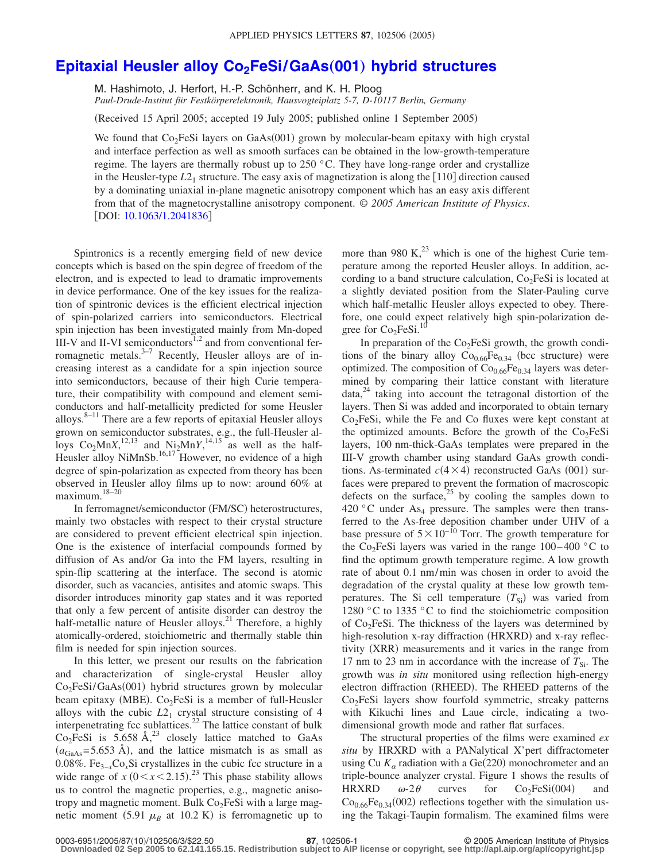## **Epitaxial Heusler alloy Co<sub>2</sub>FeSi/GaAs(001) hybrid structures**

M. Hashimoto, J. Herfort, H.-P. Schönherr, and K. H. Ploog *Paul-Drude-Institut für Festkörperelektronik, Hausvogteiplatz 5-7, D-10117 Berlin, Germany*

Received 15 April 2005; accepted 19 July 2005; published online 1 September 2005-

We found that Co<sub>2</sub>FeSi layers on GaAs(001) grown by molecular-beam epitaxy with high crystal and interface perfection as well as smooth surfaces can be obtained in the low-growth-temperature regime. The layers are thermally robust up to 250 °C. They have long-range order and crystallize in the Heusler-type  $L2_1$  structure. The easy axis of magnetization is along the  $[110]$  direction caused by a dominating uniaxial in-plane magnetic anisotropy component which has an easy axis different from that of the magnetocrystalline anisotropy component. © *2005 American Institute of Physics*. [DOI: [10.1063/1.2041836](http://dx.doi.org/10.1063/1.2041836)]

Spintronics is a recently emerging field of new device concepts which is based on the spin degree of freedom of the electron, and is expected to lead to dramatic improvements in device performance. One of the key issues for the realization of spintronic devices is the efficient electrical injection of spin-polarized carriers into semiconductors. Electrical spin injection has been investigated mainly from Mn-doped III-V and II-VI semiconductors $1,2$  and from conventional ferromagnetic metals. $3-7$  Recently, Heusler alloys are of increasing interest as a candidate for a spin injection source into semiconductors, because of their high Curie temperature, their compatibility with compound and element semiconductors and half-metallicity predicted for some Heusler alloys. $8-11$  There are a few reports of epitaxial Heusler alloys grown on semiconductor substrates, e.g., the full-Heusler alloys  $Co_2MnX$ ,<sup>12,13</sup> and  $Ni_2MnY$ ,<sup>14,15</sup> as well as the half-Heusler alloy NiMnSb.<sup>16,17</sup> However, no evidence of a high degree of spin-polarization as expected from theory has been observed in Heusler alloy films up to now: around 60% at maximum.18–20

In ferromagnet/semiconductor (FM/SC) heterostructures, mainly two obstacles with respect to their crystal structure are considered to prevent efficient electrical spin injection. One is the existence of interfacial compounds formed by diffusion of As and/or Ga into the FM layers, resulting in spin-flip scattering at the interface. The second is atomic disorder, such as vacancies, antisites and atomic swaps. This disorder introduces minority gap states and it was reported that only a few percent of antisite disorder can destroy the half-metallic nature of Heusler alloys.<sup>21</sup> Therefore, a highly atomically-ordered, stoichiometric and thermally stable thin film is needed for spin injection sources.

In this letter, we present our results on the fabrication and characterization of single-crystal Heusler alloy Co<sub>2</sub>FeSi/GaAs(001) hybrid structures grown by molecular beam epitaxy (MBE). Co<sub>2</sub>FeSi is a member of full-Heusler alloys with the cubic  $L2<sub>1</sub>$  crystal structure consisting of 4 interpenetrating fcc sublattices.22 The lattice constant of bulk  $Co<sub>2</sub>FeSi$  is 5.658 Å,<sup>23</sup> closely lattice matched to GaAs  $(a_{\text{GaAs}} = 5.653 \text{ Å})$ , and the lattice mismatch is as small as 0.08%. Fe3−*x*Co*x*Si crystallizes in the cubic fcc structure in a wide range of  $\hat{x}$  ( $0 < x < 2.15$ ).<sup>23</sup> This phase stability allows us to control the magnetic properties, e.g., magnetic anisotropy and magnetic moment. Bulk  $Co<sub>2</sub>FeSi$  with a large magnetic moment  $(5.91 \mu_B$  at 10.2 K) is ferromagnetic up to

more than 980 K, $^{23}$  which is one of the highest Curie temperature among the reported Heusler alloys. In addition, according to a band structure calculation,  $Co<sub>2</sub>FeSi$  is located at a slightly deviated position from the Slater-Pauling curve which half-metallic Heusler alloys expected to obey. Therefore, one could expect relatively high spin-polarization degree for  $Co<sub>2</sub>FeSi.<sup>10</sup>$ 

In preparation of the  $Co<sub>2</sub>FeSi$  growth, the growth conditions of the binary alloy  $Co_{0.66}Fe_{0.34}$  (bcc structure) were optimized. The composition of  $Co<sub>0.66</sub>Fe<sub>0.34</sub>$  layers was determined by comparing their lattice constant with literature data,<sup>24</sup> taking into account the tetragonal distortion of the layers. Then Si was added and incorporated to obtain ternary  $Co<sub>2</sub>FeSi$ , while the Fe and Co fluxes were kept constant at the optimized amounts. Before the growth of the  $Co<sub>2</sub>FeSi$ layers, 100 nm-thick-GaAs templates were prepared in the III-V growth chamber using standard GaAs growth conditions. As-terminated  $c(4 \times 4)$  reconstructed GaAs (001) surfaces were prepared to prevent the formation of macroscopic defects on the surface, $25$  by cooling the samples down to 420 °C under  $As_4$  pressure. The samples were then transferred to the As-free deposition chamber under UHV of a base pressure of  $5\times10^{-10}$  Torr. The growth temperature for the Co<sub>2</sub>FeSi layers was varied in the range  $100-400$  °C to find the optimum growth temperature regime. A low growth rate of about 0.1 nm/min was chosen in order to avoid the degradation of the crystal quality at these low growth temperatures. The Si cell temperature  $(T_{Si})$  was varied from 1280 °C to 1335 °C to find the stoichiometric composition of  $Co<sub>2</sub>FeSi$ . The thickness of the layers was determined by high-resolution x-ray diffraction (HRXRD) and x-ray reflectivity (XRR) measurements and it varies in the range from 17 nm to 23 nm in accordance with the increase of  $T_{\text{Si}}$ . The growth was *in situ* monitored using reflection high-energy electron diffraction (RHEED). The RHEED patterns of the  $Co<sub>2</sub>FeSi$  layers show fourfold symmetric, streaky patterns with Kikuchi lines and Laue circle, indicating a twodimensional growth mode and rather flat surfaces.

The structural properties of the films were examined *ex situ* by HRXRD with a PANalytical X'pert diffractometer using Cu  $K_{\alpha}$  radiation with a Ge(220) monochrometer and an triple-bounce analyzer crystal. Figure 1 shows the results of HRXRD  $\omega$ -2 $\theta$  curves for Co<sub>2</sub>FeSi(004) and  $Co<sub>0.66</sub>Fe<sub>0.34</sub>(002)$  reflections together with the simulation using the Takagi-Taupin formalism. The examined films were

<sup>/102506/3/\$22.50 © 2005</sup> American Institute of Physics **87**, 102506-1 **Downloaded 02 Sep 2005 to 62.141.165.15. Redistribution subject to AIP license or copyright, see http://apl.aip.org/apl/copyright.jsp**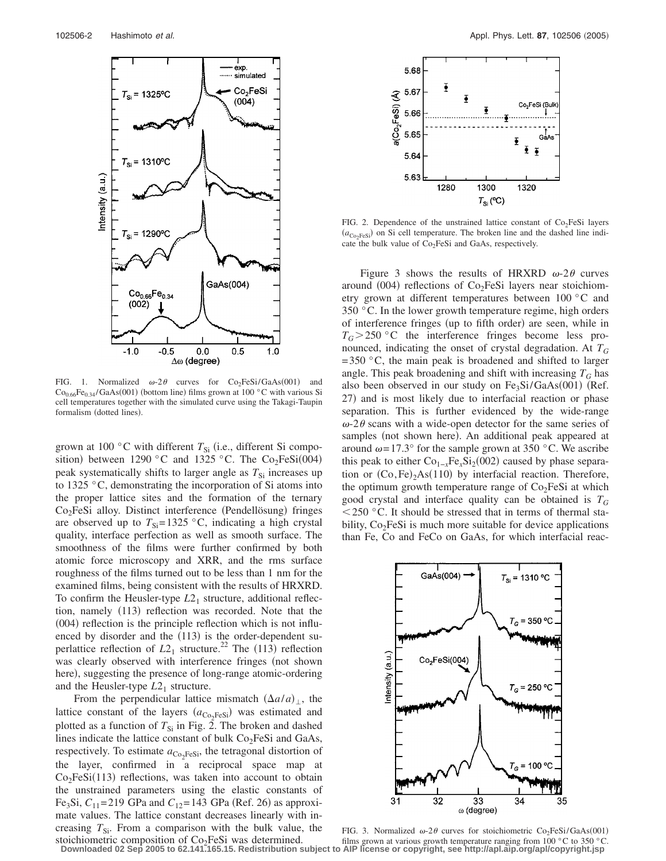

FIG. 1. Normalized  $\omega$ -2 $\theta$  curves for Co<sub>2</sub>FeSi/GaAs(001) and  $Co<sub>0.66</sub>Fe<sub>0.34</sub>/GaAs(001)$  (bottom line) films grown at 100 °C with various Si cell temperatures together with the simulated curve using the Takagi-Taupin formalism (dotted lines).

grown at 100 °C with different  $T_{Si}$  (i.e., different Si composition) between 1290 °C and 1325 °C. The Co<sub>2</sub>FeSi(004) peak systematically shifts to larger angle as  $T_{\rm Si}$  increases up to 1325 °C, demonstrating the incorporation of Si atoms into the proper lattice sites and the formation of the ternary Co<sub>2</sub>FeSi alloy. Distinct interference (Pendellösung) fringes are observed up to  $T_{\text{Si}}$ =1325 °C, indicating a high crystal quality, interface perfection as well as smooth surface. The smoothness of the films were further confirmed by both atomic force microscopy and XRR, and the rms surface roughness of the films turned out to be less than 1 nm for the examined films, being consistent with the results of HRXRD. To confirm the Heusler-type  $L2<sub>1</sub>$  structure, additional reflection, namely (113) reflection was recorded. Note that the (004) reflection is the principle reflection which is not influenced by disorder and the (113) is the order-dependent superlattice reflection of  $L2_1$  structure.<sup>22</sup> The (113) reflection was clearly observed with interference fringes (not shown here), suggesting the presence of long-range atomic-ordering and the Heusler-type  $L2<sub>1</sub>$  structure.

From the perpendicular lattice mismatch  $(\Delta a/a)_{\perp}$ , the lattice constant of the layers  $(a_{\text{Co}_2\text{FeSi}})$  was estimated and plotted as a function of  $T_{Si}$  in Fig. 2. The broken and dashed lines indicate the lattice constant of bulk  $Co<sub>2</sub>FeSi$  and GaAs, respectively. To estimate  $a_{\text{Co}_2\text{FeSi}}$ , the tetragonal distortion of the layer, confirmed in a reciprocal space map at  $Co<sub>2</sub>FeSi(113)$  reflections, was taken into account to obtain the unstrained parameters using the elastic constants of Fe<sub>3</sub>Si,  $C_{11}$ =219 GPa and  $C_{12}$ =143 GPa (Ref. 26) as approximate values. The lattice constant decreases linearly with increasing  $T_{Si}$ . From a comparison with the bulk value, the stoichiometric composition of  $Co<sub>2</sub>FeSi$  was determined.



FIG. 2. Dependence of the unstrained lattice constant of  $Co<sub>2</sub>FeSi$  layers  $(a_{\text{Co}_2\text{FeSi}})$  on Si cell temperature. The broken line and the dashed line indicate the bulk value of  $Co<sub>2</sub>FeSi$  and GaAs, respectively.

Figure 3 shows the results of HRXRD  $\omega$ -2 $\theta$  curves around (004) reflections of Co<sub>2</sub>FeSi layers near stoichiometry grown at different temperatures between 100 °C and 350 °C. In the lower growth temperature regime, high orders of interference fringes (up to fifth order) are seen, while in  $T_G > 250$  °C the interference fringes become less pronounced, indicating the onset of crystal degradation. At *TG*  $=$  350  $\degree$ C, the main peak is broadened and shifted to larger angle. This peak broadening and shift with increasing  $T_G$  has also been observed in our study on  $Fe<sub>3</sub>Si/GaAs(001)$  (Ref. 27) and is most likely due to interfacial reaction or phase separation. This is further evidenced by the wide-range  $\omega$ -2 $\theta$  scans with a wide-open detector for the same series of samples (not shown here). An additional peak appeared at around  $\omega = 17.3^\circ$  for the sample grown at 350 °C. We ascribe this peak to either  $Co_{1-x}Fe_xSi_2(002)$  caused by phase separation or  $(Co, Fe)_2As(110)$  by interfacial reaction. Therefore, the optimum growth temperature range of  $Co<sub>2</sub>FeSi$  at which good crystal and interface quality can be obtained is *TG*  $<$  250 °C. It should be stressed that in terms of thermal stability,  $Co<sub>2</sub>FeSi$  is much more suitable for device applications than Fe, Co and FeCo on GaAs, for which interfacial reac-



FIG. 3. Normalized  $\omega$ -2 $\theta$  curves for stoichiometric Co<sub>2</sub>FeSi/GaAs(001) films grown at various growth temperature ranging from 100 °C to 350 °C. **Downloaded 02 Sep 2005 to 62.141.165.15. Redistribution subject to AIP license or copyright, see http://apl.aip.org/apl/copyright.jsp**